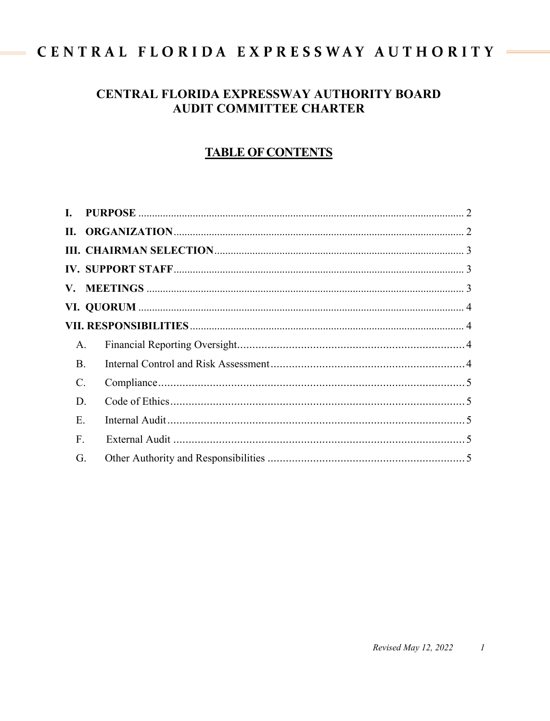# CENTRAL FLORIDA EXPRESSWAY AUTHORITY

# CENTRAL FLORIDA EXPRESSWAY AUTHORITY BOARD **AUDIT COMMITTEE CHARTER**

# **TABLE OF CONTENTS**

| A.              |  |  |
|-----------------|--|--|
| <b>B.</b>       |  |  |
| $\mathcal{C}$ . |  |  |
| D.              |  |  |
| Ε.              |  |  |
| F.              |  |  |
| G.              |  |  |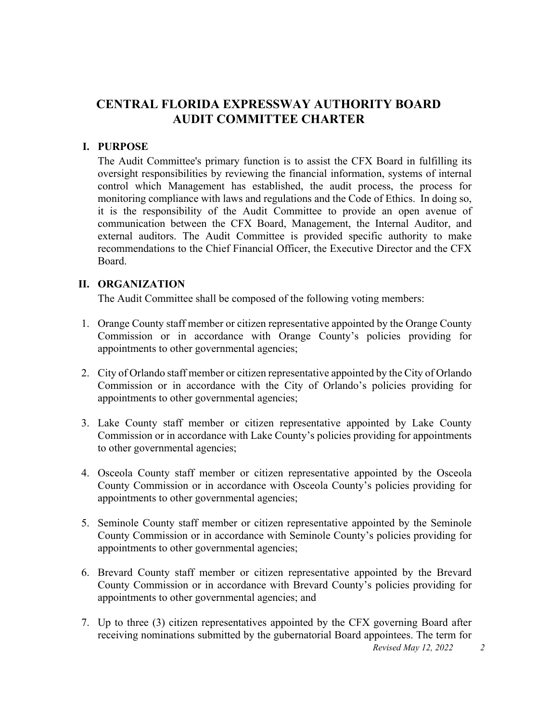# **CENTRAL FLORIDA EXPRESSWAY AUTHORITY BOARD AUDIT COMMITTEE CHARTER**

#### <span id="page-1-0"></span>**I. PURPOSE**

The Audit Committee's primary function is to assist the CFX Board in fulfilling its oversight responsibilities by reviewing the financial information, systems of internal control which Management has established, the audit process, the process for monitoring compliance with laws and regulations and the Code of Ethics. In doing so, it is the responsibility of the Audit Committee to provide an open avenue of communication between the CFX Board, Management, the Internal Auditor, and external auditors. The Audit Committee is provided specific authority to make recommendations to the Chief Financial Officer, the Executive Director and the CFX Board.

#### <span id="page-1-1"></span>**II. ORGANIZATION**

The Audit Committee shall be composed of the following voting members:

- 1. Orange County staff member or citizen representative appointed by the Orange County Commission or in accordance with Orange County's policies providing for appointments to other governmental agencies;
- 2. City of Orlando staff member or citizen representative appointed by the City of Orlando Commission or in accordance with the City of Orlando's policies providing for appointments to other governmental agencies;
- 3. Lake County staff member or citizen representative appointed by Lake County Commission or in accordance with Lake County's policies providing for appointments to other governmental agencies;
- 4. Osceola County staff member or citizen representative appointed by the Osceola County Commission or in accordance with Osceola County's policies providing for appointments to other governmental agencies;
- 5. Seminole County staff member or citizen representative appointed by the Seminole County Commission or in accordance with Seminole County's policies providing for appointments to other governmental agencies;
- 6. Brevard County staff member or citizen representative appointed by the Brevard County Commission or in accordance with Brevard County's policies providing for appointments to other governmental agencies; and
- 7. Up to three (3) citizen representatives appointed by the CFX governing Board after receiving nominations submitted by the gubernatorial Board appointees. The term for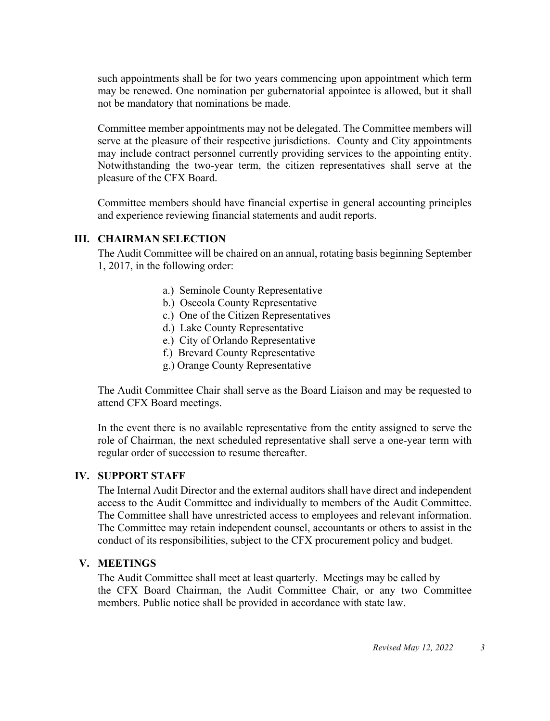such appointments shall be for two years commencing upon appointment which term may be renewed. One nomination per gubernatorial appointee is allowed, but it shall not be mandatory that nominations be made.

Committee member appointments may not be delegated. The Committee members will serve at the pleasure of their respective jurisdictions. County and City appointments may include contract personnel currently providing services to the appointing entity. Notwithstanding the two-year term, the citizen representatives shall serve at the pleasure of the CFX Board.

Committee members should have financial expertise in general accounting principles and experience reviewing financial statements and audit reports.

#### <span id="page-2-0"></span>**III. CHAIRMAN SELECTION**

The Audit Committee will be chaired on an annual, rotating basis beginning September 1, 2017, in the following order:

- a.) Seminole County Representative
- b.) Osceola County Representative
- c.) One of the Citizen Representatives
- d.) Lake County Representative
- e.) City of Orlando Representative
- f.) Brevard County Representative
- g.) Orange County Representative

The Audit Committee Chair shall serve as the Board Liaison and may be requested to attend CFX Board meetings.

In the event there is no available representative from the entity assigned to serve the role of Chairman, the next scheduled representative shall serve a one-year term with regular order of succession to resume thereafter.

## <span id="page-2-1"></span>**IV. SUPPORT STAFF**

The Internal Audit Director and the external auditors shall have direct and independent access to the Audit Committee and individually to members of the Audit Committee. The Committee shall have unrestricted access to employees and relevant information. The Committee may retain independent counsel, accountants or others to assist in the conduct of its responsibilities, subject to the CFX procurement policy and budget.

#### <span id="page-2-2"></span>**V. MEETINGS**

The Audit Committee shall meet at least quarterly. Meetings may be called by the CFX Board Chairman, the Audit Committee Chair, or any two Committee members. Public notice shall be provided in accordance with state law.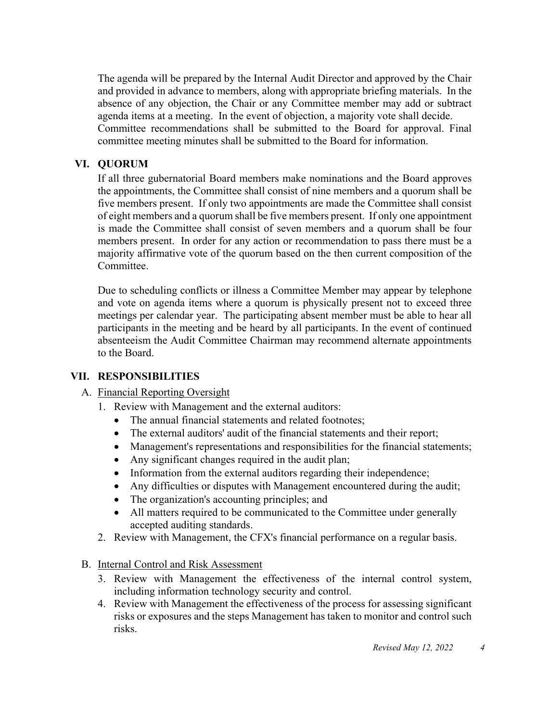The agenda will be prepared by the Internal Audit Director and approved by the Chair and provided in advance to members, along with appropriate briefing materials. In the absence of any objection, the Chair or any Committee member may add or subtract agenda items at a meeting. In the event of objection, a majority vote shall decide. Committee recommendations shall be submitted to the Board for approval. Final committee meeting minutes shall be submitted to the Board for information.

## <span id="page-3-0"></span>**VI. QUORUM**

If all three gubernatorial Board members make nominations and the Board approves the appointments, the Committee shall consist of nine members and a quorum shall be five members present. If only two appointments are made the Committee shall consist of eight members and a quorum shall be five members present. If only one appointment is made the Committee shall consist of seven members and a quorum shall be four members present. In order for any action or recommendation to pass there must be a majority affirmative vote of the quorum based on the then current composition of the Committee.

Due to scheduling conflicts or illness a Committee Member may appear by telephone and vote on agenda items where a quorum is physically present not to exceed three meetings per calendar year. The participating absent member must be able to hear all participants in the meeting and be heard by all participants. In the event of continued absenteeism the Audit Committee Chairman may recommend alternate appointments to the Board.

## <span id="page-3-2"></span><span id="page-3-1"></span> **VII. RESPONSIBILITIES**

#### A. Financial Reporting Oversight

- 1. Review with Management and the external auditors:
	- The annual financial statements and related footnotes:
	- The external auditors' audit of the financial statements and their report;
	- Management's representations and responsibilities for the financial statements;
	- Any significant changes required in the audit plan;
	- Information from the external auditors regarding their independence;
	- Any difficulties or disputes with Management encountered during the audit;
	- The organization's accounting principles; and
	- All matters required to be communicated to the Committee under generally accepted auditing standards.
- 2. Review with Management, the CFX's financial performance on a regular basis.

## <span id="page-3-3"></span>B. Internal Control and Risk Assessment

- 3. Review with Management the effectiveness of the internal control system, including information technology security and control.
- 4. Review with Management the effectiveness of the process for assessing significant risks or exposures and the steps Management has taken to monitor and control such risks.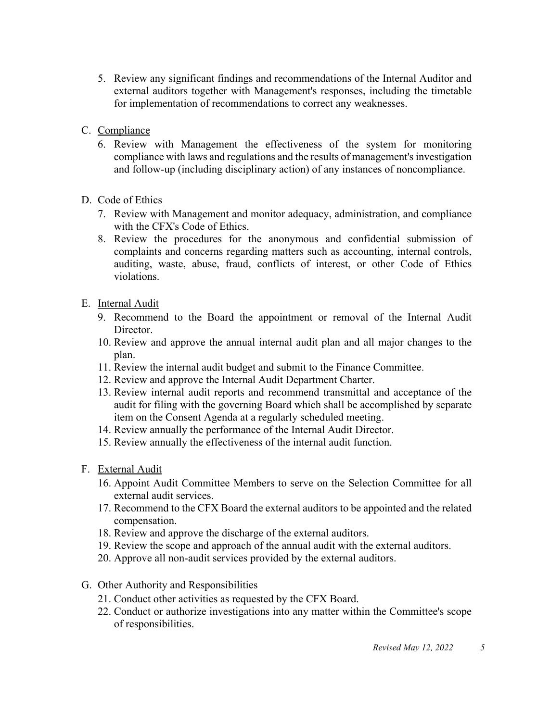- 5. Review any significant findings and recommendations of the Internal Auditor and external auditors together with Management's responses, including the timetable for implementation of recommendations to correct any weaknesses.
- <span id="page-4-0"></span>C. Compliance
	- 6. Review with Management the effectiveness of the system for monitoring compliance with laws and regulations and the results of management's investigation and follow-up (including disciplinary action) of any instances of noncompliance.

# <span id="page-4-1"></span>D. Code of Ethics

- 7. Review with Management and monitor adequacy, administration, and compliance with the CFX's Code of Ethics.
- 8. Review the procedures for the anonymous and confidential submission of complaints and concerns regarding matters such as accounting, internal controls, auditing, waste, abuse, fraud, conflicts of interest, or other Code of Ethics violations.

# <span id="page-4-2"></span>E. Internal Audit

- 9. Recommend to the Board the appointment or removal of the Internal Audit Director.
- 10. Review and approve the annual internal audit plan and all major changes to the plan.
- 11. Review the internal audit budget and submit to the Finance Committee.
- 12. Review and approve the Internal Audit Department Charter.
- 13. Review internal audit reports and recommend transmittal and acceptance of the audit for filing with the governing Board which shall be accomplished by separate item on the Consent Agenda at a regularly scheduled meeting.
- 14. Review annually the performance of the Internal Audit Director.
- 15. Review annually the effectiveness of the internal audit function.
- <span id="page-4-3"></span>F. External Audit
	- 16. Appoint Audit Committee Members to serve on the Selection Committee for all external audit services.
	- 17. Recommend to the CFX Board the external auditors to be appointed and the related compensation.
	- 18. Review and approve the discharge of the external auditors.
	- 19. Review the scope and approach of the annual audit with the external auditors.
	- 20. Approve all non-audit services provided by the external auditors.
- <span id="page-4-4"></span>G. Other Authority and Responsibilities
	- 21. Conduct other activities as requested by the CFX Board.
	- 22. Conduct or authorize investigations into any matter within the Committee's scope of responsibilities.